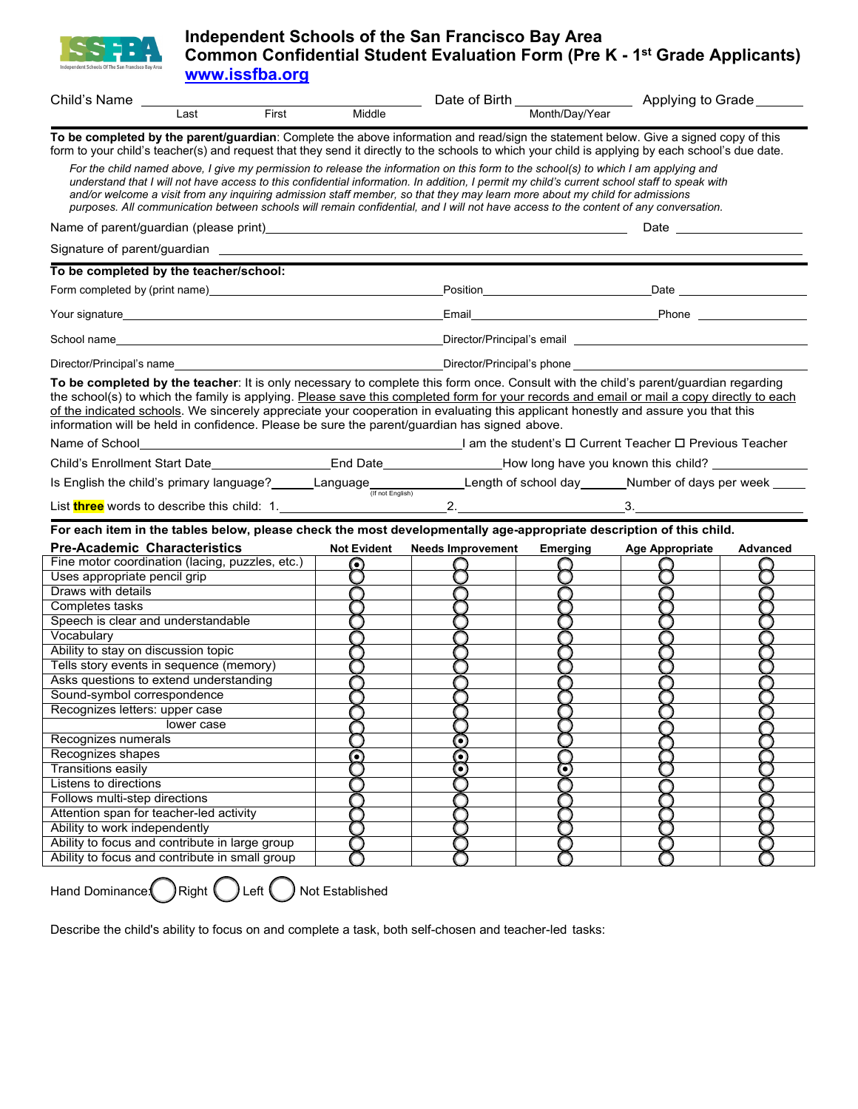

## **Independent Schools of the San Francisco Bay Area Common Confidential Student Evaluation Form (Pre K - 1st Grade Applicants) [www.issfba.org](http://www.issfba.org/)**

| Child's Name                            |                                                                                                                                                                                                                                                                                                                                                                                                                                                                                                                                                                                                                         |                        |                          |          |                                                                                                                                                                                                                                      |                 |
|-----------------------------------------|-------------------------------------------------------------------------------------------------------------------------------------------------------------------------------------------------------------------------------------------------------------------------------------------------------------------------------------------------------------------------------------------------------------------------------------------------------------------------------------------------------------------------------------------------------------------------------------------------------------------------|------------------------|--------------------------|----------|--------------------------------------------------------------------------------------------------------------------------------------------------------------------------------------------------------------------------------------|-----------------|
|                                         | Last                                                                                                                                                                                                                                                                                                                                                                                                                                                                                                                                                                                                                    | <b>First</b><br>Middle |                          |          |                                                                                                                                                                                                                                      |                 |
|                                         | To be completed by the parent/guardian: Complete the above information and read/sign the statement below. Give a signed copy of this                                                                                                                                                                                                                                                                                                                                                                                                                                                                                    |                        |                          |          |                                                                                                                                                                                                                                      |                 |
|                                         | form to your child's teacher(s) and request that they send it directly to the schools to which your child is applying by each school's due date.                                                                                                                                                                                                                                                                                                                                                                                                                                                                        |                        |                          |          |                                                                                                                                                                                                                                      |                 |
|                                         | For the child named above, I give my permission to release the information on this form to the school(s) to which I am applying and<br>understand that I will not have access to this confidential information. In addition, I permit my child's current school staff to speak with<br>and/or welcome a visit from any inquiring admission staff member, so that they may learn more about my child for admissions<br>purposes. All communication between schools will remain confidential, and I will not have access to the content of any conversation.                                                              |                        |                          |          |                                                                                                                                                                                                                                      |                 |
|                                         |                                                                                                                                                                                                                                                                                                                                                                                                                                                                                                                                                                                                                         |                        |                          |          | Date the contract of the contract of the contract of the contract of the contract of the contract of the contract of the contract of the contract of the contract of the contract of the contract of the contract of the contr       |                 |
|                                         |                                                                                                                                                                                                                                                                                                                                                                                                                                                                                                                                                                                                                         |                        |                          |          |                                                                                                                                                                                                                                      |                 |
|                                         | To be completed by the teacher/school:                                                                                                                                                                                                                                                                                                                                                                                                                                                                                                                                                                                  |                        |                          |          |                                                                                                                                                                                                                                      |                 |
|                                         |                                                                                                                                                                                                                                                                                                                                                                                                                                                                                                                                                                                                                         |                        |                          |          |                                                                                                                                                                                                                                      |                 |
|                                         |                                                                                                                                                                                                                                                                                                                                                                                                                                                                                                                                                                                                                         |                        |                          |          | Email Phone Phone 2014                                                                                                                                                                                                               |                 |
|                                         |                                                                                                                                                                                                                                                                                                                                                                                                                                                                                                                                                                                                                         |                        |                          |          | Director/Principal's email <b>contract and the contract of the contract of the contract of the contract of the contract of the contract of the contract of the contract of the contract of the contract of the contract of the c</b> |                 |
|                                         | Director/Principal's name                                                                                                                                                                                                                                                                                                                                                                                                                                                                                                                                                                                               |                        |                          |          |                                                                                                                                                                                                                                      |                 |
| Name of School                          | To be completed by the teacher: It is only necessary to complete this form once. Consult with the child's parent/guardian regarding<br>the school(s) to which the family is applying. Please save this completed form for your records and email or mail a copy directly to each<br>of the indicated schools. We sincerely appreciate your cooperation in evaluating this applicant honestly and assure you that this<br>information will be held in confidence. Please be sure the parent/guardian has signed above.<br>Lam the student's <b>□</b> Current Teacher <b>□</b> Previous Teacher <b>□</b> Previous Teacher |                        |                          |          |                                                                                                                                                                                                                                      |                 |
|                                         |                                                                                                                                                                                                                                                                                                                                                                                                                                                                                                                                                                                                                         |                        |                          |          |                                                                                                                                                                                                                                      |                 |
|                                         | Child's Enrollment Start Date___________________End Date________________How long have you known this child? __________                                                                                                                                                                                                                                                                                                                                                                                                                                                                                                  |                        |                          |          |                                                                                                                                                                                                                                      |                 |
|                                         | Is English the child's primary language?______Language________________Length of school day______Number of days per week _____                                                                                                                                                                                                                                                                                                                                                                                                                                                                                           |                        |                          |          |                                                                                                                                                                                                                                      |                 |
|                                         |                                                                                                                                                                                                                                                                                                                                                                                                                                                                                                                                                                                                                         |                        |                          |          |                                                                                                                                                                                                                                      |                 |
|                                         | For each item in the tables below, please check the most developmentally age-appropriate description of this child.                                                                                                                                                                                                                                                                                                                                                                                                                                                                                                     |                        |                          |          |                                                                                                                                                                                                                                      |                 |
| <b>Pre-Academic Characteristics</b>     |                                                                                                                                                                                                                                                                                                                                                                                                                                                                                                                                                                                                                         | <b>Not Evident</b>     | <b>Needs Improvement</b> | Emerging | <b>Age Appropriate</b>                                                                                                                                                                                                               | <b>Advanced</b> |
|                                         | Fine motor coordination (lacing, puzzles, etc.)                                                                                                                                                                                                                                                                                                                                                                                                                                                                                                                                                                         | $\odot$                | ◯                        |          |                                                                                                                                                                                                                                      |                 |
| Uses appropriate pencil grip            |                                                                                                                                                                                                                                                                                                                                                                                                                                                                                                                                                                                                                         | O                      | Ο                        | O        | O                                                                                                                                                                                                                                    |                 |
| Draws with details                      |                                                                                                                                                                                                                                                                                                                                                                                                                                                                                                                                                                                                                         |                        |                          |          |                                                                                                                                                                                                                                      |                 |
| Completes tasks                         |                                                                                                                                                                                                                                                                                                                                                                                                                                                                                                                                                                                                                         |                        | ∩                        | O        | ∩                                                                                                                                                                                                                                    |                 |
| Speech is clear and understandable      |                                                                                                                                                                                                                                                                                                                                                                                                                                                                                                                                                                                                                         |                        | Ω                        |          | O                                                                                                                                                                                                                                    |                 |
| Vocabulary                              |                                                                                                                                                                                                                                                                                                                                                                                                                                                                                                                                                                                                                         |                        |                          |          |                                                                                                                                                                                                                                      |                 |
| Ability to stay on discussion topic     |                                                                                                                                                                                                                                                                                                                                                                                                                                                                                                                                                                                                                         |                        |                          |          |                                                                                                                                                                                                                                      |                 |
|                                         | Tells story events in sequence (memory)                                                                                                                                                                                                                                                                                                                                                                                                                                                                                                                                                                                 |                        | ∩                        |          | ∩                                                                                                                                                                                                                                    |                 |
|                                         | Asks questions to extend understanding                                                                                                                                                                                                                                                                                                                                                                                                                                                                                                                                                                                  |                        |                          |          |                                                                                                                                                                                                                                      |                 |
| Sound-symbol correspondence             |                                                                                                                                                                                                                                                                                                                                                                                                                                                                                                                                                                                                                         |                        |                          |          |                                                                                                                                                                                                                                      |                 |
| Recognizes letters: upper case          |                                                                                                                                                                                                                                                                                                                                                                                                                                                                                                                                                                                                                         |                        |                          |          |                                                                                                                                                                                                                                      |                 |
|                                         | lower case                                                                                                                                                                                                                                                                                                                                                                                                                                                                                                                                                                                                              |                        |                          |          |                                                                                                                                                                                                                                      |                 |
| Recognizes numerals                     |                                                                                                                                                                                                                                                                                                                                                                                                                                                                                                                                                                                                                         |                        | Ο                        |          |                                                                                                                                                                                                                                      |                 |
| Recognizes shapes                       |                                                                                                                                                                                                                                                                                                                                                                                                                                                                                                                                                                                                                         | C                      | Ō                        |          |                                                                                                                                                                                                                                      |                 |
| <b>Transitions easily</b>               |                                                                                                                                                                                                                                                                                                                                                                                                                                                                                                                                                                                                                         |                        | Ō                        | Θ        |                                                                                                                                                                                                                                      |                 |
| Listens to directions                   |                                                                                                                                                                                                                                                                                                                                                                                                                                                                                                                                                                                                                         |                        |                          |          |                                                                                                                                                                                                                                      |                 |
| Follows multi-step directions           |                                                                                                                                                                                                                                                                                                                                                                                                                                                                                                                                                                                                                         |                        |                          |          |                                                                                                                                                                                                                                      |                 |
|                                         |                                                                                                                                                                                                                                                                                                                                                                                                                                                                                                                                                                                                                         |                        |                          |          |                                                                                                                                                                                                                                      |                 |
| Attention span for teacher-led activity |                                                                                                                                                                                                                                                                                                                                                                                                                                                                                                                                                                                                                         |                        |                          |          |                                                                                                                                                                                                                                      |                 |
| Ability to work independently           |                                                                                                                                                                                                                                                                                                                                                                                                                                                                                                                                                                                                                         |                        |                          |          |                                                                                                                                                                                                                                      |                 |
|                                         | Ability to focus and contribute in large group                                                                                                                                                                                                                                                                                                                                                                                                                                                                                                                                                                          |                        |                          |          |                                                                                                                                                                                                                                      |                 |
|                                         | Ability to focus and contribute in small group                                                                                                                                                                                                                                                                                                                                                                                                                                                                                                                                                                          |                        |                          |          |                                                                                                                                                                                                                                      |                 |

Hand Dominance:  $\bigcap$  Right  $\bigcup$  Left  $\bigcap$  Not Established

Describe the child's ability to focus on and complete a task, both self-chosen and teacher-led tasks: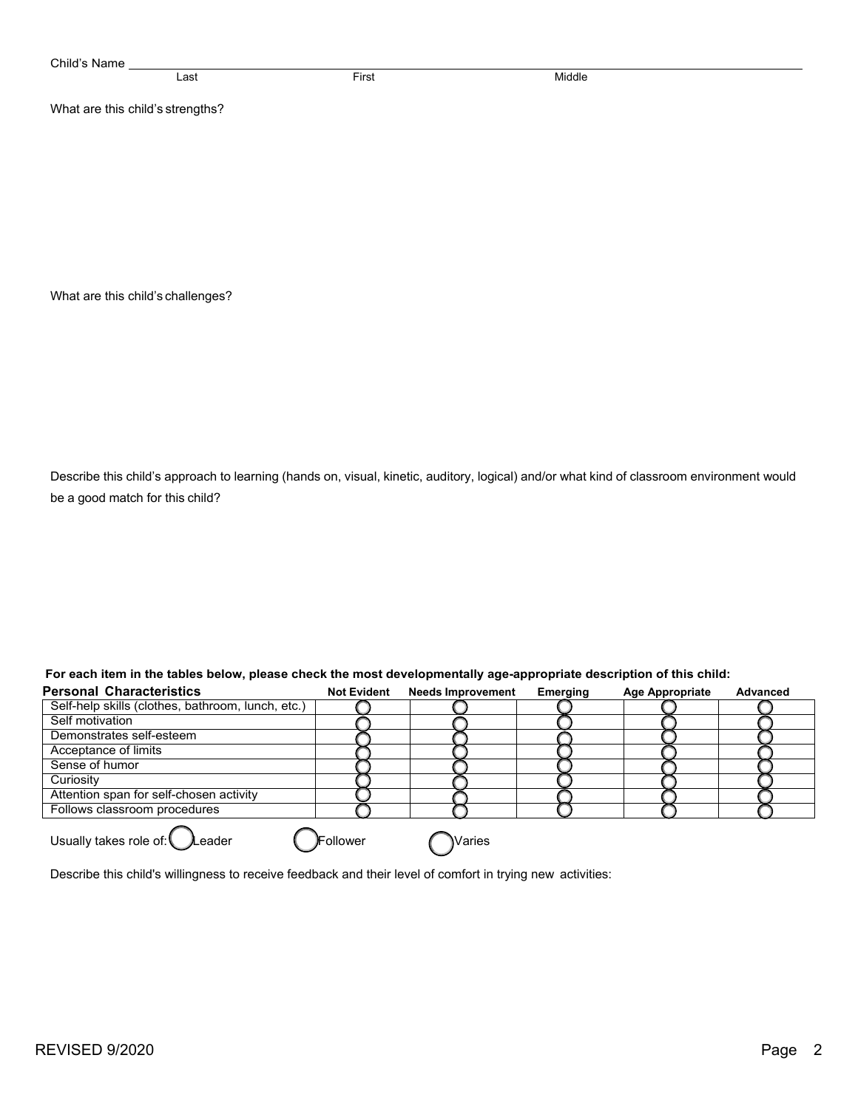| Child's Name                      |                                  |       |        |  |  |  |  |  |  |
|-----------------------------------|----------------------------------|-------|--------|--|--|--|--|--|--|
|                                   | Last                             | First | Middle |  |  |  |  |  |  |
|                                   | What are this child's strengths? |       |        |  |  |  |  |  |  |
|                                   |                                  |       |        |  |  |  |  |  |  |
|                                   |                                  |       |        |  |  |  |  |  |  |
|                                   |                                  |       |        |  |  |  |  |  |  |
|                                   |                                  |       |        |  |  |  |  |  |  |
|                                   |                                  |       |        |  |  |  |  |  |  |
|                                   |                                  |       |        |  |  |  |  |  |  |
| What are this child's challenges? |                                  |       |        |  |  |  |  |  |  |

kjljlk

Describe this child's approach to learning (hands on, visual, kinetic, auditory, logical) and/or what kind of classroom environment would be a good match for this child?

kjljlk

| <b>Personal Characteristics</b>                   | <b>Not Evident</b> | <b>Needs Improvement</b> | Emerging | <b>Age Appropriate</b> | Advanced |
|---------------------------------------------------|--------------------|--------------------------|----------|------------------------|----------|
| Self-help skills (clothes, bathroom, lunch, etc.) |                    |                          |          |                        |          |
| Self motivation                                   |                    |                          |          |                        |          |
| Demonstrates self-esteem                          |                    |                          |          |                        |          |
| Acceptance of limits                              |                    |                          |          |                        |          |
| Sense of humor                                    |                    |                          |          |                        |          |
| Curiosity                                         |                    |                          |          |                        |          |
| Attention span for self-chosen activity           |                    |                          |          |                        |          |
| Follows classroom procedures                      |                    |                          |          |                        |          |
| Usually takes role of: Leader                     | <b>)F</b> ollower  | Waries                   |          |                        |          |

 **For each item in the tables below, please check the most developmentally age-appropriate description of this child:**

Describe this child's willingness to receive feedback and their level of comfort in trying new activities: